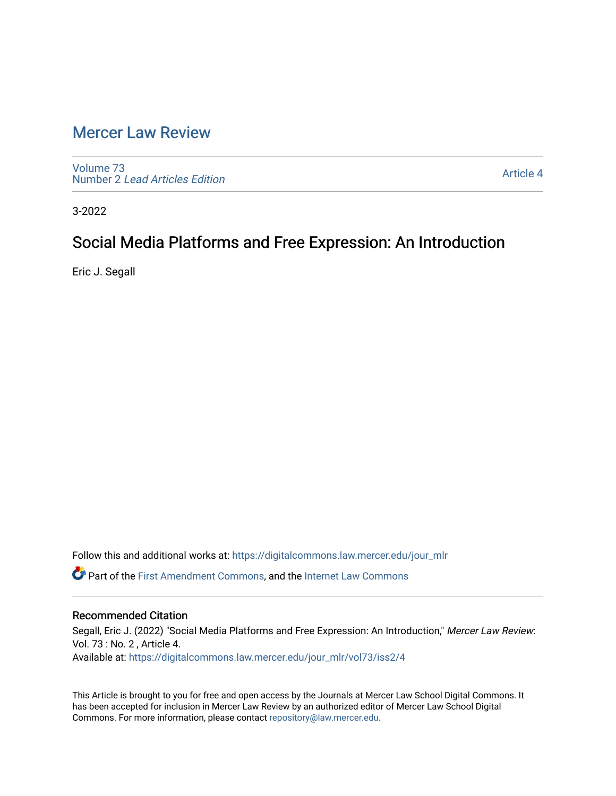## [Mercer Law Review](https://digitalcommons.law.mercer.edu/jour_mlr)

[Volume 73](https://digitalcommons.law.mercer.edu/jour_mlr/vol73) Number 2 [Lead Articles Edition](https://digitalcommons.law.mercer.edu/jour_mlr/vol73/iss2)

[Article 4](https://digitalcommons.law.mercer.edu/jour_mlr/vol73/iss2/4) 

3-2022

## Social Media Platforms and Free Expression: An Introduction

Eric J. Segall

Follow this and additional works at: [https://digitalcommons.law.mercer.edu/jour\\_mlr](https://digitalcommons.law.mercer.edu/jour_mlr?utm_source=digitalcommons.law.mercer.edu%2Fjour_mlr%2Fvol73%2Fiss2%2F4&utm_medium=PDF&utm_campaign=PDFCoverPages)

Part of the [First Amendment Commons,](http://network.bepress.com/hgg/discipline/1115?utm_source=digitalcommons.law.mercer.edu%2Fjour_mlr%2Fvol73%2Fiss2%2F4&utm_medium=PDF&utm_campaign=PDFCoverPages) and the [Internet Law Commons](http://network.bepress.com/hgg/discipline/892?utm_source=digitalcommons.law.mercer.edu%2Fjour_mlr%2Fvol73%2Fiss2%2F4&utm_medium=PDF&utm_campaign=PDFCoverPages)

### Recommended Citation

Segall, Eric J. (2022) "Social Media Platforms and Free Expression: An Introduction," Mercer Law Review: Vol. 73 : No. 2 , Article 4. Available at: [https://digitalcommons.law.mercer.edu/jour\\_mlr/vol73/iss2/4](https://digitalcommons.law.mercer.edu/jour_mlr/vol73/iss2/4?utm_source=digitalcommons.law.mercer.edu%2Fjour_mlr%2Fvol73%2Fiss2%2F4&utm_medium=PDF&utm_campaign=PDFCoverPages)

This Article is brought to you for free and open access by the Journals at Mercer Law School Digital Commons. It has been accepted for inclusion in Mercer Law Review by an authorized editor of Mercer Law School Digital Commons. For more information, please contact [repository@law.mercer.edu.](mailto:repository@law.mercer.edu)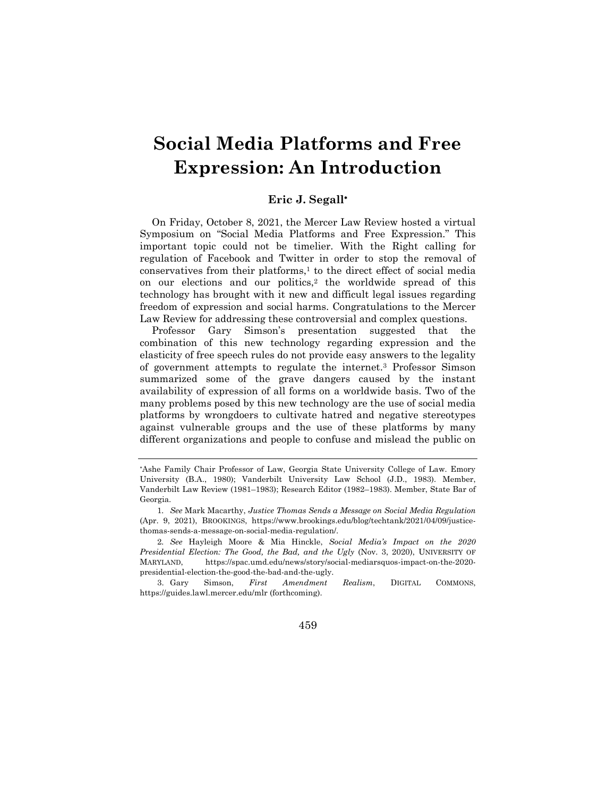# **Social Media Platforms and Free Expression: An Introduction**

#### **Eric J. Segall**

On Friday, October 8, 2021, the Mercer Law Review hosted a virtual Symposium on "Social Media Platforms and Free Expression." This important topic could not be timelier. With the Right calling for regulation of Facebook and Twitter in order to stop the removal of conservatives from their platforms, $<sup>1</sup>$  to the direct effect of social media</sup> on our elections and our politics, $2$  the worldwide spread of this technology has brought with it new and difficult legal issues regarding freedom of expression and social harms. Congratulations to the Mercer Law Review for addressing these controversial and complex questions.

Professor Gary Simson's presentation suggested that the combination of this new technology regarding expression and the elasticity of free speech rules do not provide easy answers to the legality of government attempts to regulate the internet.<sup>3</sup> Professor Simson summarized some of the grave dangers caused by the instant availability of expression of all forms on a worldwide basis. Two of the many problems posed by this new technology are the use of social media platforms by wrongdoers to cultivate hatred and negative stereotypes against vulnerable groups and the use of these platforms by many different organizations and people to confuse and mislead the public on

<sup>3.</sup> Gary Simson, *First Amendment Realism*, DIGITAL COMMONS, https://guides.lawl.mercer.edu/mlr (forthcoming).



<sup>\*</sup>Ashe Family Chair Professor of Law, Georgia State University College of Law. Emory University (B.A., 1980); Vanderbilt University Law School (J.D., 1983). Member, Vanderbilt Law Review (1981–1983); Research Editor (1982–1983). Member, State Bar of Georgia.

<sup>1</sup>*. See* Mark Macarthy, *Justice Thomas Sends a Message on Social Media Regulation* (Apr. 9, 2021), BROOKINGS, https://www.brookings.edu/blog/techtank/2021/04/09/justicethomas-sends-a-message-on-social-media-regulation/.

<sup>2</sup>*. See* Hayleigh Moore & Mia Hinckle, *Social Media's Impact on the 2020 Presidential Election: The Good, the Bad, and the Ugly* (Nov. 3, 2020), UNIVERSITY OF MARYLAND, https://spac.umd.edu/news/story/social-mediarsquos-impact-on-the-2020 presidential-election-the-good-the-bad-and-the-ugly.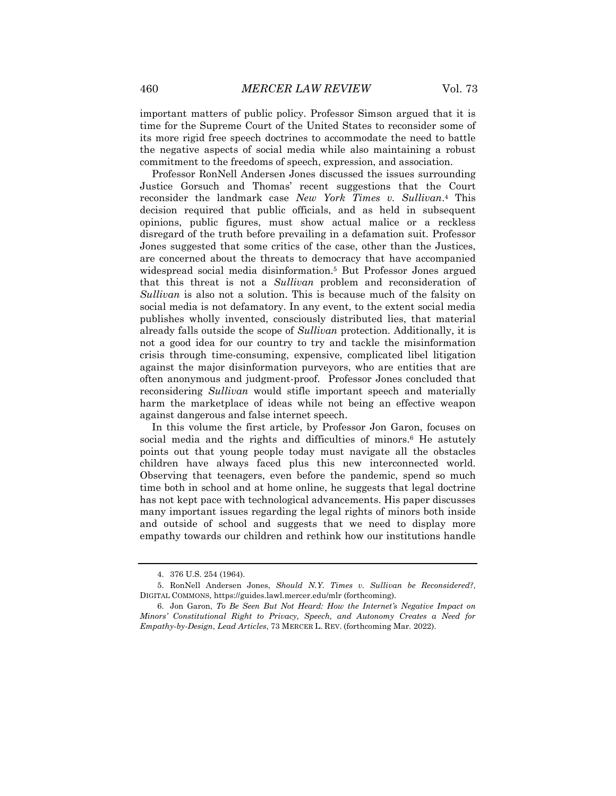important matters of public policy. Professor Simson argued that it is time for the Supreme Court of the United States to reconsider some of its more rigid free speech doctrines to accommodate the need to battle the negative aspects of social media while also maintaining a robust commitment to the freedoms of speech, expression, and association.

Professor RonNell Andersen Jones discussed the issues surrounding Justice Gorsuch and Thomas' recent suggestions that the Court reconsider the landmark case *New York Times v. Sullivan*. <sup>4</sup> This decision required that public officials, and as held in subsequent opinions, public figures, must show actual malice or a reckless disregard of the truth before prevailing in a defamation suit. Professor Jones suggested that some critics of the case, other than the Justices, are concerned about the threats to democracy that have accompanied widespread social media disinformation.<sup>5</sup> But Professor Jones argued that this threat is not a *Sullivan* problem and reconsideration of *Sullivan* is also not a solution. This is because much of the falsity on social media is not defamatory. In any event, to the extent social media publishes wholly invented, consciously distributed lies, that material already falls outside the scope of *Sullivan* protection. Additionally, it is not a good idea for our country to try and tackle the misinformation crisis through time-consuming, expensive, complicated libel litigation against the major disinformation purveyors, who are entities that are often anonymous and judgment-proof. Professor Jones concluded that reconsidering *Sullivan* would stifle important speech and materially harm the marketplace of ideas while not being an effective weapon against dangerous and false internet speech.

In this volume the first article, by Professor Jon Garon, focuses on social media and the rights and difficulties of minors.<sup>6</sup> He astutely points out that young people today must navigate all the obstacles children have always faced plus this new interconnected world. Observing that teenagers, even before the pandemic, spend so much time both in school and at home online, he suggests that legal doctrine has not kept pace with technological advancements. His paper discusses many important issues regarding the legal rights of minors both inside and outside of school and suggests that we need to display more empathy towards our children and rethink how our institutions handle

<sup>4.</sup> 376 U.S. 254 (1964).

<sup>5.</sup> RonNell Andersen Jones, *Should N.Y. Times v. Sullivan be Reconsidered?*, DIGITAL COMMONS, https://guides.lawl.mercer.edu/mlr (forthcoming).

<sup>6.</sup> Jon Garon, *To Be Seen But Not Heard: How the Internet's Negative Impact on Minors' Constitutional Right to Privacy, Speech, and Autonomy Creates a Need for Empathy-by-Design*, *Lead Articles*, 73 MERCER L. REV. (forthcoming Mar. 2022).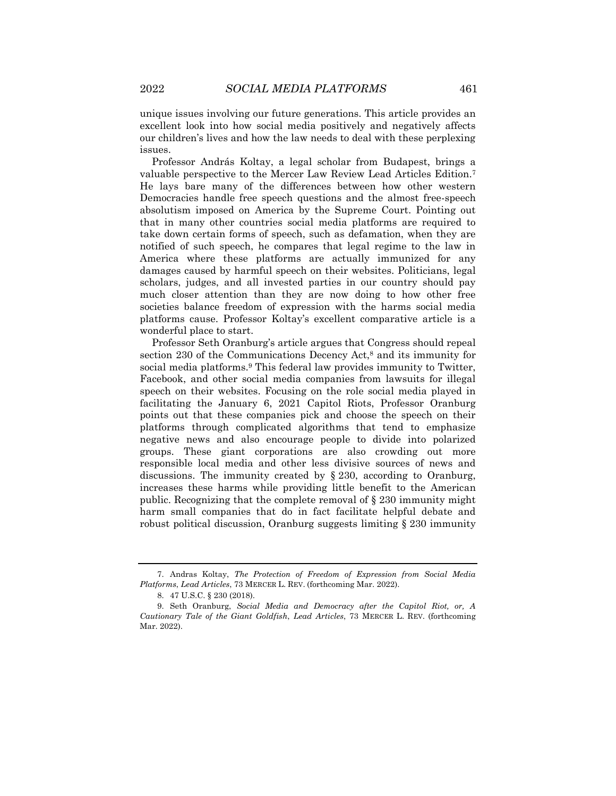unique issues involving our future generations. This article provides an excellent look into how social media positively and negatively affects our children's lives and how the law needs to deal with these perplexing issues.

Professor András Koltay, a legal scholar from Budapest, brings a valuable perspective to the Mercer Law Review Lead Articles Edition.<sup>7</sup> He lays bare many of the differences between how other western Democracies handle free speech questions and the almost free-speech absolutism imposed on America by the Supreme Court. Pointing out that in many other countries social media platforms are required to take down certain forms of speech, such as defamation, when they are notified of such speech, he compares that legal regime to the law in America where these platforms are actually immunized for any damages caused by harmful speech on their websites. Politicians, legal scholars, judges, and all invested parties in our country should pay much closer attention than they are now doing to how other free societies balance freedom of expression with the harms social media platforms cause. Professor Koltay's excellent comparative article is a wonderful place to start.

Professor Seth Oranburg's article argues that Congress should repeal section 230 of the Communications Decency Act,<sup>8</sup> and its immunity for social media platforms.<sup>9</sup> This federal law provides immunity to Twitter, Facebook, and other social media companies from lawsuits for illegal speech on their websites. Focusing on the role social media played in facilitating the January 6, 2021 Capitol Riots, Professor Oranburg points out that these companies pick and choose the speech on their platforms through complicated algorithms that tend to emphasize negative news and also encourage people to divide into polarized groups. These giant corporations are also crowding out more responsible local media and other less divisive sources of news and discussions. The immunity created by § 230, according to Oranburg, increases these harms while providing little benefit to the American public. Recognizing that the complete removal of § 230 immunity might harm small companies that do in fact facilitate helpful debate and robust political discussion, Oranburg suggests limiting § 230 immunity

<sup>7.</sup> Andras Koltay, *The Protection of Freedom of Expression from Social Media Platforms*, *Lead Articles*, 73 MERCER L. REV. (forthcoming Mar. 2022).

<sup>8.</sup> 47 U.S.C. § 230 (2018).

<sup>9.</sup> Seth Oranburg, *Social Media and Democracy after the Capitol Riot, or, A Cautionary Tale of the Giant Goldfish*, *Lead Articles*, 73 MERCER L. REV. (forthcoming Mar. 2022).